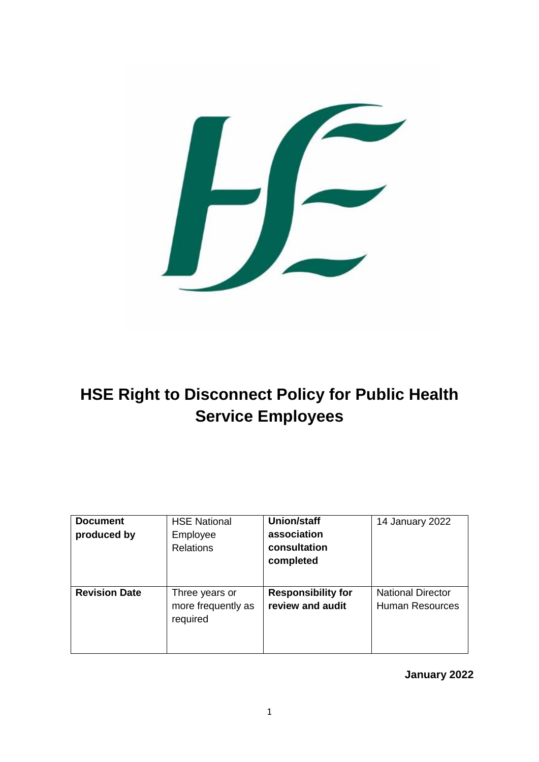

# **HSE Right to Disconnect Policy for Public Health Service Employees**

| <b>Document</b><br>produced by | <b>HSE National</b><br>Employee<br><b>Relations</b> | <b>Union/staff</b><br>association<br>consultation<br>completed | 14 January 2022                                    |
|--------------------------------|-----------------------------------------------------|----------------------------------------------------------------|----------------------------------------------------|
| <b>Revision Date</b>           | Three years or<br>more frequently as<br>required    | <b>Responsibility for</b><br>review and audit                  | <b>National Director</b><br><b>Human Resources</b> |

**January 2022**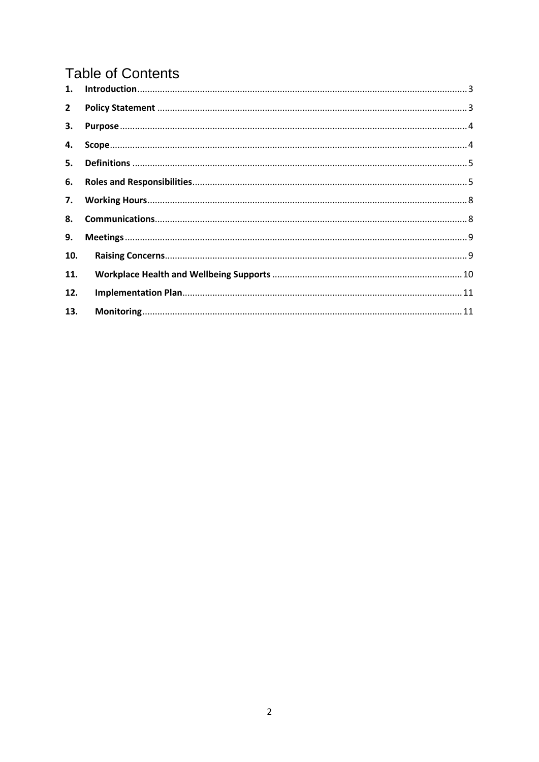# **Table of Contents**

| $2^{\circ}$ |  |
|-------------|--|
|             |  |
| 4.          |  |
|             |  |
| 6.          |  |
|             |  |
| 8.          |  |
| 9.          |  |
| 10.         |  |
| 11.         |  |
| 12.         |  |
| 13.         |  |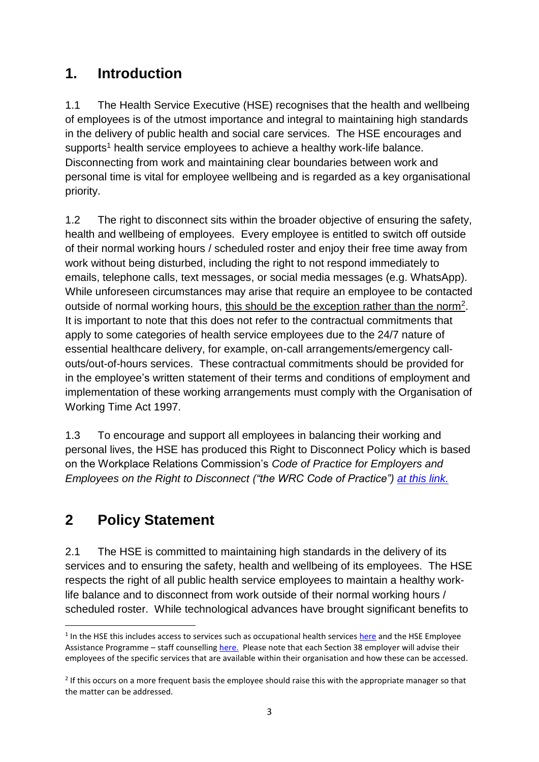### <span id="page-2-0"></span>**1. Introduction**

1.1 The Health Service Executive (HSE) recognises that the health and wellbeing of employees is of the utmost importance and integral to maintaining high standards in the delivery of public health and social care services. The HSE encourages and supports<sup>1</sup> health service employees to achieve a healthy work-life balance. Disconnecting from work and maintaining clear boundaries between work and personal time is vital for employee wellbeing and is regarded as a key organisational priority.

1.2 The right to disconnect sits within the broader objective of ensuring the safety, health and wellbeing of employees. Every employee is entitled to switch off outside of their normal working hours / scheduled roster and enjoy their free time away from work without being disturbed, including the right to not respond immediately to emails, telephone calls, text messages, or social media messages (e.g. WhatsApp). While unforeseen circumstances may arise that require an employee to be contacted outside of normal working hours, this should be the exception rather than the norm<sup>2</sup>. It is important to note that this does not refer to the contractual commitments that apply to some categories of health service employees due to the 24/7 nature of essential healthcare delivery, for example, on-call arrangements/emergency callouts/out-of-hours services. These contractual commitments should be provided for in the employee's written statement of their terms and conditions of employment and implementation of these working arrangements must comply with the Organisation of Working Time Act 1997.

1.3 To encourage and support all employees in balancing their working and personal lives, the HSE has produced this Right to Disconnect Policy which is based on the Workplace Relations Commission's *Code of Practice for Employers and Employees on the Right to Disconnect ("the WRC Code of Practice") [at this link.](https://www.workplacerelations.ie/en/what_you_should_know/codes_practice/)*

### <span id="page-2-1"></span>**2 Policy Statement**

2.1 The HSE is committed to maintaining high standards in the delivery of its services and to ensuring the safety, health and wellbeing of its employees. The HSE respects the right of all public health service employees to maintain a healthy worklife balance and to disconnect from work outside of their normal working hours / scheduled roster. While technological advances have brought significant benefits to

**<sup>.</sup>** <sup>1</sup> In the HSE this includes access to services such as occupational health services [here](https://healthservice.hse.ie/staff/benefits-services/occupational-health/) and the HSE Employee Assistance Programme – staff counsellin[g here.](https://healthservice.hse.ie/staff/benefits-services/benefits/counselling.html) Please note that each Section 38 employer will advise their employees of the specific services that are available within their organisation and how these can be accessed.

<sup>&</sup>lt;sup>2</sup> If this occurs on a more frequent basis the employee should raise this with the appropriate manager so that the matter can be addressed.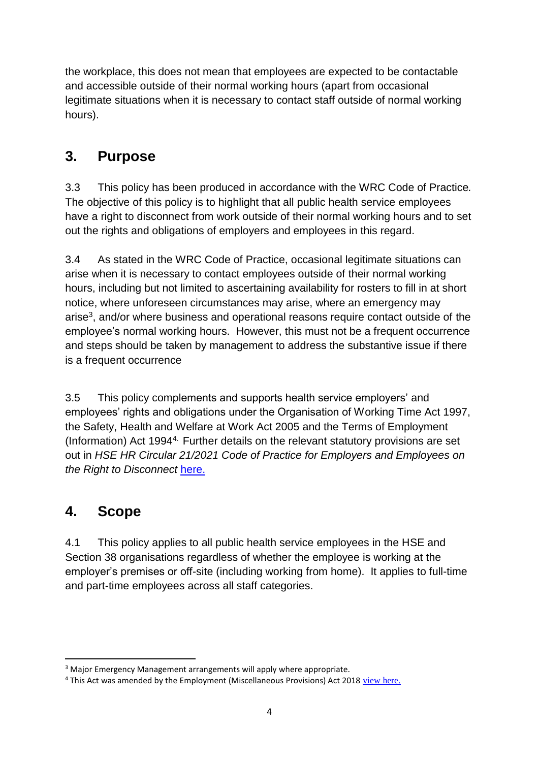the workplace, this does not mean that employees are expected to be contactable and accessible outside of their normal working hours (apart from occasional legitimate situations when it is necessary to contact staff outside of normal working hours).

### <span id="page-3-0"></span>**3. Purpose**

3.3 This policy has been produced in accordance with the WRC Code of Practice*.*  The objective of this policy is to highlight that all public health service employees have a right to disconnect from work outside of their normal working hours and to set out the rights and obligations of employers and employees in this regard.

3.4 As stated in the WRC Code of Practice, occasional legitimate situations can arise when it is necessary to contact employees outside of their normal working hours, including but not limited to ascertaining availability for rosters to fill in at short notice, where unforeseen circumstances may arise, where an emergency may arise<sup>3</sup>, and/or where business and operational reasons require contact outside of the employee's normal working hours. However, this must not be a frequent occurrence and steps should be taken by management to address the substantive issue if there is a frequent occurrence

3.5 This policy complements and supports health service employers' and employees' rights and obligations under the Organisation of Working Time Act 1997, the Safety, Health and Welfare at Work Act 2005 and the Terms of Employment (Information) Act 19944. Further details on the relevant statutory provisions are set out in *HSE HR Circular 21/2021 Code of Practice for Employers and Employees on the Right to Disconnect* [here.](https://www.hse.ie/eng/staff/resources/hr-circulars/hr-circular-021-2021-code-of-practice-for-employers-and-employees-on-the-right-to-disconnect.html)

## <span id="page-3-1"></span>**4. Scope**

4.1 This policy applies to all public health service employees in the HSE and Section 38 organisations regardless of whether the employee is working at the employer's premises or off-site (including working from home). It applies to full-time and part-time employees across all staff categories.

**<sup>.</sup>** <sup>3</sup> Major Emergency Management arrangements will apply where appropriate.

<sup>&</sup>lt;sup>4</sup> This Act was amended by the Employment (Miscellaneous Provisions) Act 2018 [view here.](https://www.workplacerelations.ie/en/news-media/workplace_relations_notices/employment-misc-provisions-act-2018.html)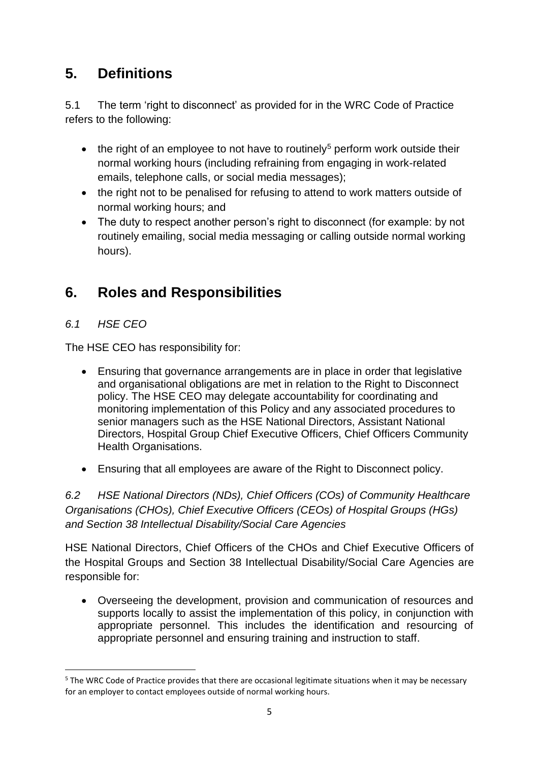### <span id="page-4-0"></span>**5. Definitions**

5.1 The term 'right to disconnect' as provided for in the WRC Code of Practice refers to the following:

- the right of an employee to not have to routinely<sup>5</sup> perform work outside their normal working hours (including refraining from engaging in work-related emails, telephone calls, or social media messages);
- the right not to be penalised for refusing to attend to work matters outside of normal working hours; and
- The duty to respect another person's right to disconnect (for example: by not routinely emailing, social media messaging or calling outside normal working hours).

### <span id="page-4-1"></span>**6. Roles and Responsibilities**

#### *6.1 HSE CEO*

1

The HSE CEO has responsibility for:

- Ensuring that governance arrangements are in place in order that legislative and organisational obligations are met in relation to the Right to Disconnect policy. The HSE CEO may delegate accountability for coordinating and monitoring implementation of this Policy and any associated procedures to senior managers such as the HSE National Directors, Assistant National Directors, Hospital Group Chief Executive Officers, Chief Officers Community Health Organisations.
- Ensuring that all employees are aware of the Right to Disconnect policy.

*6.2 HSE National Directors (NDs), Chief Officers (COs) of Community Healthcare Organisations (CHOs), Chief Executive Officers (CEOs) of Hospital Groups (HGs) and Section 38 Intellectual Disability/Social Care Agencies*

HSE National Directors, Chief Officers of the CHOs and Chief Executive Officers of the Hospital Groups and Section 38 Intellectual Disability/Social Care Agencies are responsible for:

 Overseeing the development, provision and communication of resources and supports locally to assist the implementation of this policy, in conjunction with appropriate personnel. This includes the identification and resourcing of appropriate personnel and ensuring training and instruction to staff.

<sup>&</sup>lt;sup>5</sup> The WRC Code of Practice provides that there are occasional legitimate situations when it may be necessary for an employer to contact employees outside of normal working hours.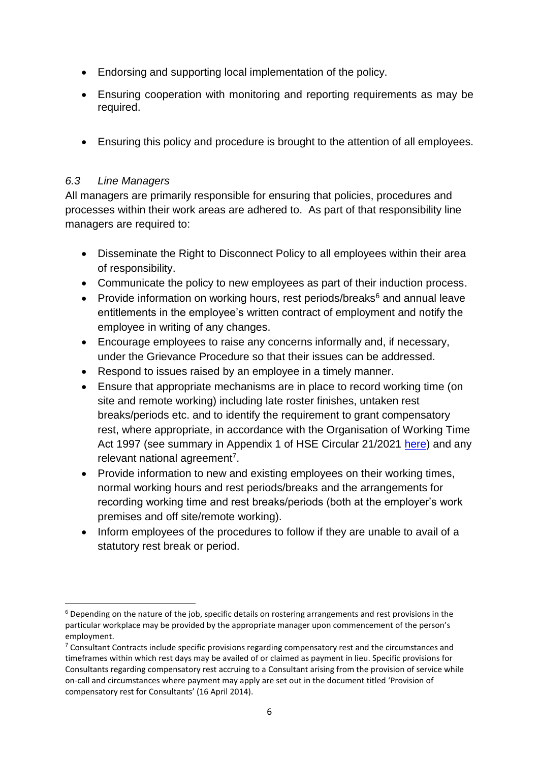- Endorsing and supporting local implementation of the policy.
- Ensuring cooperation with monitoring and reporting requirements as may be required.
- Ensuring this policy and procedure is brought to the attention of all employees.

#### *6.3 Line Managers*

1

All managers are primarily responsible for ensuring that policies, procedures and processes within their work areas are adhered to. As part of that responsibility line managers are required to:

- Disseminate the Right to Disconnect Policy to all employees within their area of responsibility.
- Communicate the policy to new employees as part of their induction process.
- **Provide information on working hours, rest periods/breaks<sup>6</sup> and annual leave** entitlements in the employee's written contract of employment and notify the employee in writing of any changes.
- Encourage employees to raise any concerns informally and, if necessary, under the Grievance Procedure so that their issues can be addressed.
- Respond to issues raised by an employee in a timely manner.
- Ensure that appropriate mechanisms are in place to record working time (on site and remote working) including late roster finishes, untaken rest breaks/periods etc. and to identify the requirement to grant compensatory rest, where appropriate, in accordance with the Organisation of Working Time Act 1997 (see summary in Appendix 1 of HSE Circular 21/2021 [here\)](https://www.hse.ie/eng/staff/resources/hr-circulars/hr-circular-021-2021-code-of-practice-for-employers-and-employees-on-the-right-to-disconnect.html) and any relevant national agreement<sup>7</sup>.
- Provide information to new and existing employees on their working times, normal working hours and rest periods/breaks and the arrangements for recording working time and rest breaks/periods (both at the employer's work premises and off site/remote working).
- Inform employees of the procedures to follow if they are unable to avail of a statutory rest break or period.

<sup>&</sup>lt;sup>6</sup> Depending on the nature of the job, specific details on rostering arrangements and rest provisions in the particular workplace may be provided by the appropriate manager upon commencement of the person's employment.

 $7$  Consultant Contracts include specific provisions regarding compensatory rest and the circumstances and timeframes within which rest days may be availed of or claimed as payment in lieu. Specific provisions for Consultants regarding compensatory rest accruing to a Consultant arising from the provision of service while on-call and circumstances where payment may apply are set out in the document titled 'Provision of compensatory rest for Consultants' (16 April 2014).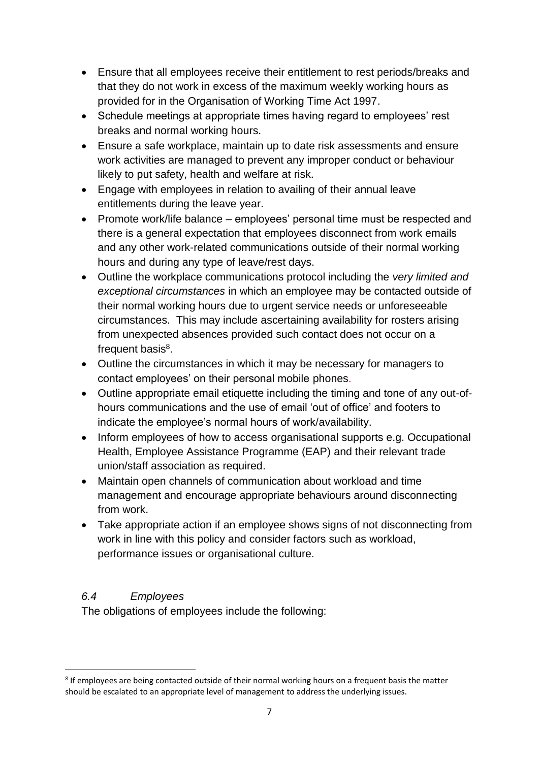- Ensure that all employees receive their entitlement to rest periods/breaks and that they do not work in excess of the maximum weekly working hours as provided for in the Organisation of Working Time Act 1997.
- Schedule meetings at appropriate times having regard to employees' rest breaks and normal working hours.
- Ensure a safe workplace, maintain up to date risk assessments and ensure work activities are managed to prevent any improper conduct or behaviour likely to put safety, health and welfare at risk.
- Engage with employees in relation to availing of their annual leave entitlements during the leave year.
- Promote work/life balance employees' personal time must be respected and there is a general expectation that employees disconnect from work emails and any other work-related communications outside of their normal working hours and during any type of leave/rest days.
- Outline the workplace communications protocol including the *very limited and exceptional circumstances* in which an employee may be contacted outside of their normal working hours due to urgent service needs or unforeseeable circumstances. This may include ascertaining availability for rosters arising from unexpected absences provided such contact does not occur on a frequent basis<sup>8</sup>.
- Outline the circumstances in which it may be necessary for managers to contact employees' on their personal mobile phones.
- Outline appropriate email etiquette including the timing and tone of any out-ofhours communications and the use of email 'out of office' and footers to indicate the employee's normal hours of work/availability.
- Inform employees of how to access organisational supports e.g. Occupational Health, Employee Assistance Programme (EAP) and their relevant trade union/staff association as required.
- Maintain open channels of communication about workload and time management and encourage appropriate behaviours around disconnecting from work.
- Take appropriate action if an employee shows signs of not disconnecting from work in line with this policy and consider factors such as workload, performance issues or organisational culture.

#### *6.4 Employees*

The obligations of employees include the following:

<sup>1</sup> <sup>8</sup> If employees are being contacted outside of their normal working hours on a frequent basis the matter should be escalated to an appropriate level of management to address the underlying issues.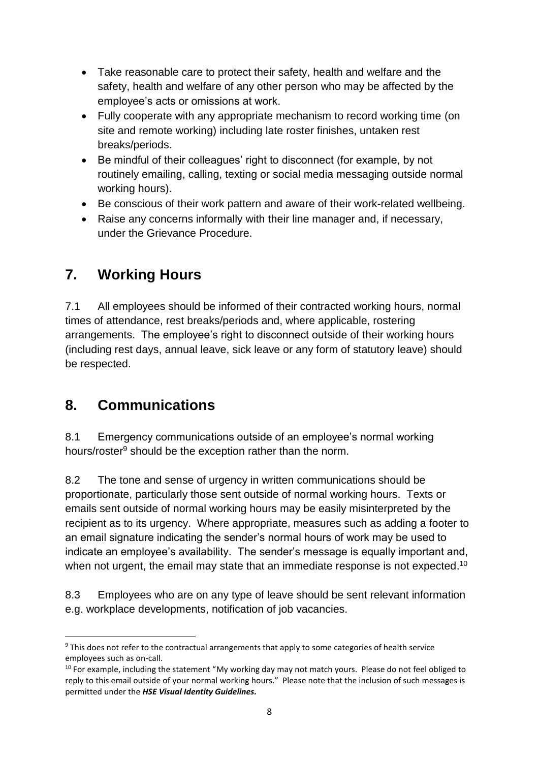- Take reasonable care to protect their safety, health and welfare and the safety, health and welfare of any other person who may be affected by the employee's acts or omissions at work.
- Fully cooperate with any appropriate mechanism to record working time (on site and remote working) including late roster finishes, untaken rest breaks/periods.
- Be mindful of their colleagues' right to disconnect (for example, by not routinely emailing, calling, texting or social media messaging outside normal working hours).
- Be conscious of their work pattern and aware of their work-related wellbeing.
- Raise any concerns informally with their line manager and, if necessary, under the Grievance Procedure.

### <span id="page-7-0"></span>**7. Working Hours**

7.1 All employees should be informed of their contracted working hours, normal times of attendance, rest breaks/periods and, where applicable, rostering arrangements. The employee's right to disconnect outside of their working hours (including rest days, annual leave, sick leave or any form of statutory leave) should be respected.

### <span id="page-7-1"></span>**8. Communications**

8.1 Emergency communications outside of an employee's normal working hours/roster<sup>9</sup> should be the exception rather than the norm.

8.2 The tone and sense of urgency in written communications should be proportionate, particularly those sent outside of normal working hours. Texts or emails sent outside of normal working hours may be easily misinterpreted by the recipient as to its urgency. Where appropriate, measures such as adding a footer to an email signature indicating the sender's normal hours of work may be used to indicate an employee's availability. The sender's message is equally important and, when not urgent, the email may state that an immediate response is not expected.<sup>10</sup>

8.3 Employees who are on any type of leave should be sent relevant information e.g. workplace developments, notification of job vacancies.

**<sup>.</sup>** <sup>9</sup> This does not refer to the contractual arrangements that apply to some categories of health service employees such as on-call.

<sup>&</sup>lt;sup>10</sup> For example, including the statement "My working day may not match yours. Please do not feel obliged to reply to this email outside of your normal working hours." Please note that the inclusion of such messages is permitted under the *HSE Visual Identity Guidelines.*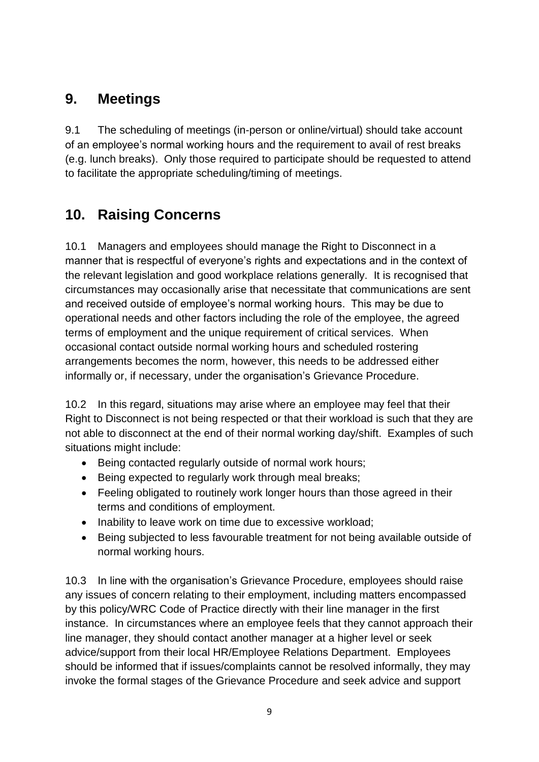### <span id="page-8-0"></span>**9. Meetings**

9.1 The scheduling of meetings (in-person or online/virtual) should take account of an employee's normal working hours and the requirement to avail of rest breaks (e.g. lunch breaks). Only those required to participate should be requested to attend to facilitate the appropriate scheduling/timing of meetings.

### <span id="page-8-1"></span>**10. Raising Concerns**

10.1 Managers and employees should manage the Right to Disconnect in a manner that is respectful of everyone's rights and expectations and in the context of the relevant legislation and good workplace relations generally. It is recognised that circumstances may occasionally arise that necessitate that communications are sent and received outside of employee's normal working hours. This may be due to operational needs and other factors including the role of the employee, the agreed terms of employment and the unique requirement of critical services. When occasional contact outside normal working hours and scheduled rostering arrangements becomes the norm, however, this needs to be addressed either informally or, if necessary, under the organisation's Grievance Procedure.

10.2 In this regard, situations may arise where an employee may feel that their Right to Disconnect is not being respected or that their workload is such that they are not able to disconnect at the end of their normal working day/shift. Examples of such situations might include:

- Being contacted regularly outside of normal work hours;
- Being expected to regularly work through meal breaks;
- Feeling obligated to routinely work longer hours than those agreed in their terms and conditions of employment.
- Inability to leave work on time due to excessive workload;
- Being subjected to less favourable treatment for not being available outside of normal working hours.

10.3 In line with the organisation's Grievance Procedure, employees should raise any issues of concern relating to their employment, including matters encompassed by this policy/WRC Code of Practice directly with their line manager in the first instance. In circumstances where an employee feels that they cannot approach their line manager, they should contact another manager at a higher level or seek advice/support from their local HR/Employee Relations Department. Employees should be informed that if issues/complaints cannot be resolved informally, they may invoke the formal stages of the Grievance Procedure and seek advice and support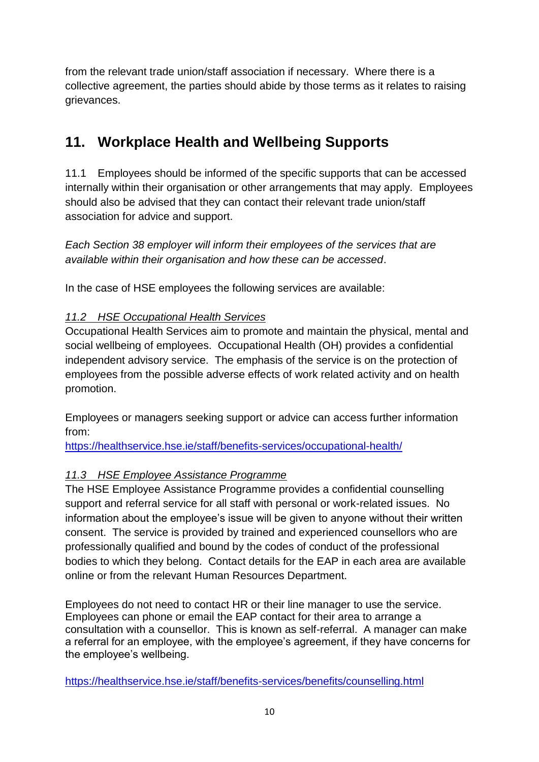from the relevant trade union/staff association if necessary. Where there is a collective agreement, the parties should abide by those terms as it relates to raising grievances.

### <span id="page-9-0"></span>**11. Workplace Health and Wellbeing Supports**

11.1 Employees should be informed of the specific supports that can be accessed internally within their organisation or other arrangements that may apply. Employees should also be advised that they can contact their relevant trade union/staff association for advice and support.

*Each Section 38 employer will inform their employees of the services that are available within their organisation and how these can be accessed*.

In the case of HSE employees the following services are available:

#### *11.2 HSE Occupational Health Services*

Occupational Health Services aim to promote and maintain the physical, mental and social wellbeing of employees. Occupational Health (OH) provides a confidential independent advisory service. The emphasis of the service is on the protection of employees from the possible adverse effects of work related activity and on health promotion.

Employees or managers seeking support or advice can access further information from:

<https://healthservice.hse.ie/staff/benefits-services/occupational-health/>

#### *11.3 HSE Employee Assistance Programme*

The HSE Employee Assistance Programme provides a confidential counselling support and referral service for all staff with personal or work-related issues. No information about the employee's issue will be given to anyone without their written consent. The service is provided by trained and experienced counsellors who are professionally qualified and bound by the codes of conduct of the professional bodies to which they belong. Contact details for the EAP in each area are available online or from the relevant Human Resources Department.

Employees do not need to contact HR or their line manager to use the service. Employees can phone or email the EAP contact for their area to arrange a consultation with a counsellor. This is known as self-referral. A manager can make a referral for an employee, with the employee's agreement, if they have concerns for the employee's wellbeing.

<https://healthservice.hse.ie/staff/benefits-services/benefits/counselling.html>